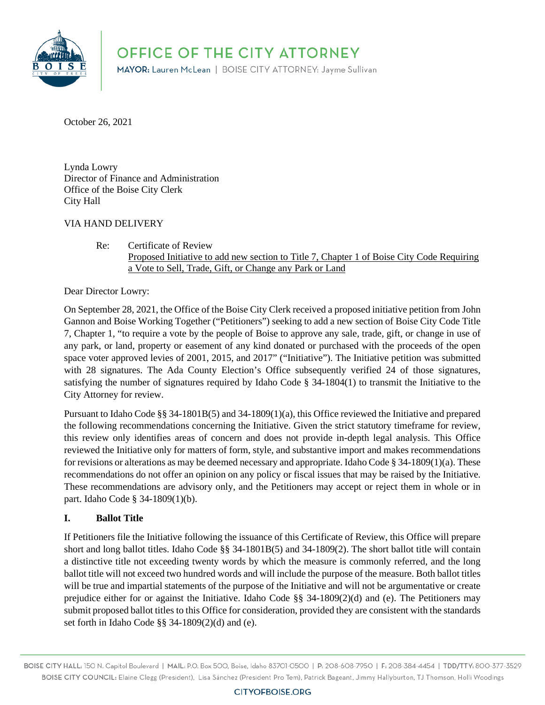

OFFICE OF THE CITY ATTORNEY

MAYOR: Lauren McLean | BOISE CITY ATTORNEY: Jayme Sullivan

October 26, 2021

Lynda Lowry Director of Finance and Administration Office of the Boise City Clerk City Hall

#### VIA HAND DELIVERY

Re: Certificate of Review Proposed Initiative to add new section to Title 7, Chapter 1 of Boise City Code Requiring a Vote to Sell, Trade, Gift, or Change any Park or Land

Dear Director Lowry:

On September 28, 2021, the Office of the Boise City Clerk received a proposed initiative petition from John Gannon and Boise Working Together ("Petitioners") seeking to add a new section of Boise City Code Title 7, Chapter 1, "to require a vote by the people of Boise to approve any sale, trade, gift, or change in use of any park, or land, property or easement of any kind donated or purchased with the proceeds of the open space voter approved levies of 2001, 2015, and 2017" ("Initiative"). The Initiative petition was submitted with 28 signatures. The Ada County Election's Office subsequently verified 24 of those signatures, satisfying the number of signatures required by Idaho Code § 34-1804(1) to transmit the Initiative to the City Attorney for review.

Pursuant to Idaho Code §§ 34-1801B(5) and 34-1809(1)(a), this Office reviewed the Initiative and prepared the following recommendations concerning the Initiative. Given the strict statutory timeframe for review, this review only identifies areas of concern and does not provide in-depth legal analysis. This Office reviewed the Initiative only for matters of form, style, and substantive import and makes recommendations for revisions or alterations as may be deemed necessary and appropriate. Idaho Code § 34-1809(1)(a). These recommendations do not offer an opinion on any policy or fiscal issues that may be raised by the Initiative. These recommendations are advisory only, and the Petitioners may accept or reject them in whole or in part. Idaho Code § 34-1809(1)(b).

#### **I. Ballot Title**

If Petitioners file the Initiative following the issuance of this Certificate of Review, this Office will prepare short and long ballot titles. Idaho Code §§ 34-1801B(5) and 34-1809(2). The short ballot title will contain a distinctive title not exceeding twenty words by which the measure is commonly referred, and the long ballot title will not exceed two hundred words and will include the purpose of the measure. Both ballot titles will be true and impartial statements of the purpose of the Initiative and will not be argumentative or create prejudice either for or against the Initiative. Idaho Code §§ 34-1809(2)(d) and (e). The Petitioners may submit proposed ballot titles to this Office for consideration, provided they are consistent with the standards set forth in Idaho Code §§ 34-1809(2)(d) and (e).

BOISE CITY HALL: 150 N. Capitol Boulevard | MAIL: P.O. Box 500, Boise, Idaho 83701-0500 | P: 208-608-7950 | F: 208-384-4454 | TDD/TTY: 800-377-3529 BOISE CITY COUNCIL: Elaine Clegg (President), Lisa Sánchez (President Pro Tem), Patrick Bageant, Jimmy Hallyburton, TJ Thomson, Holli Woodings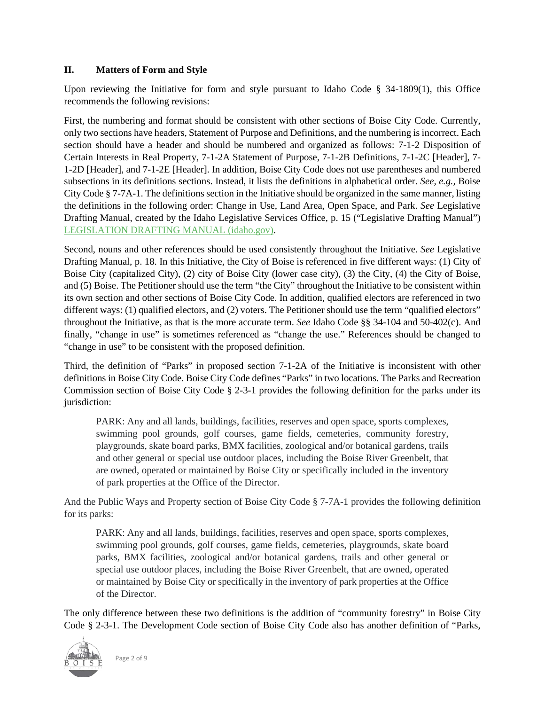#### **II. Matters of Form and Style**

Upon reviewing the Initiative for form and style pursuant to Idaho Code  $\S$  34-1809(1), this Office recommends the following revisions:

First, the numbering and format should be consistent with other sections of Boise City Code. Currently, only two sections have headers, Statement of Purpose and Definitions, and the numbering is incorrect. Each section should have a header and should be numbered and organized as follows: 7-1-2 Disposition of Certain Interests in Real Property, 7-1-2A Statement of Purpose, 7-1-2B Definitions, 7-1-2C [Header], 7- 1-2D [Header], and 7-1-2E [Header]. In addition, Boise City Code does not use parentheses and numbered subsections in its definitions sections. Instead, it lists the definitions in alphabetical order. *See, e.g.,* Boise City Code § 7-7A-1. The definitions section in the Initiative should be organized in the same manner, listing the definitions in the following order: Change in Use, Land Area, Open Space, and Park. *See* Legislative Drafting Manual, created by the Idaho Legislative Services Office, p. 15 ("Legislative Drafting Manual") [LEGISLATION DRAFTING MANUAL \(idaho.gov\).](https://legislature.idaho.gov/wp-content/uploads/research/draftingmanual.pdf)

Second, nouns and other references should be used consistently throughout the Initiative. *See* Legislative Drafting Manual, p. 18. In this Initiative, the City of Boise is referenced in five different ways: (1) City of Boise City (capitalized City), (2) city of Boise City (lower case city), (3) the City, (4) the City of Boise, and (5) Boise. The Petitioner should use the term "the City" throughout the Initiative to be consistent within its own section and other sections of Boise City Code. In addition, qualified electors are referenced in two different ways: (1) qualified electors, and (2) voters. The Petitioner should use the term "qualified electors" throughout the Initiative, as that is the more accurate term. *See* Idaho Code §§ 34-104 and 50-402(c). And finally, "change in use" is sometimes referenced as "change the use." References should be changed to "change in use" to be consistent with the proposed definition.

Third, the definition of "Parks" in proposed section 7-1-2A of the Initiative is inconsistent with other definitions in Boise City Code. Boise City Code defines "Parks" in two locations. The Parks and Recreation Commission section of Boise City Code § 2-3-1 provides the following definition for the parks under its jurisdiction:

PARK: Any and all lands, buildings, facilities, reserves and open space, sports complexes, swimming pool grounds, golf courses, game fields, cemeteries, community forestry, playgrounds, skate board parks, BMX facilities, zoological and/or botanical gardens, trails and other general or special use outdoor places, including the Boise River Greenbelt, that are owned, operated or maintained by Boise City or specifically included in the inventory of park properties at the Office of the Director.

And the Public Ways and Property section of Boise City Code § 7-7A-1 provides the following definition for its parks:

PARK: Any and all lands, buildings, facilities, reserves and open space, sports complexes, swimming pool grounds, golf courses, game fields, cemeteries, playgrounds, skate board parks, BMX facilities, zoological and/or botanical gardens, trails and other general or special use outdoor places, including the Boise River Greenbelt, that are owned, operated or maintained by Boise City or specifically in the inventory of park properties at the Office of the Director.

The only difference between these two definitions is the addition of "community forestry" in Boise City Code § 2-3-1. The Development Code section of Boise City Code also has another definition of "Parks,



Page 2 of 9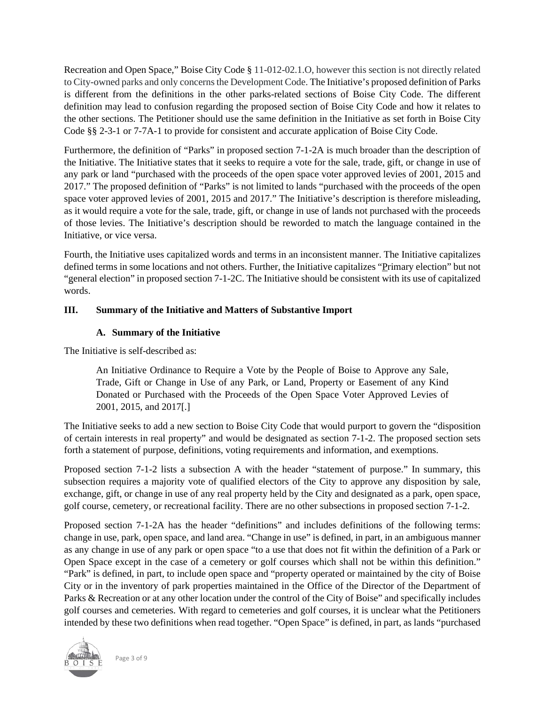Recreation and Open Space," Boise City Code § 11-012-02.1.O, however this section is not directly related to City-owned parks and only concerns the Development Code. The Initiative's proposed definition of Parks is different from the definitions in the other parks-related sections of Boise City Code. The different definition may lead to confusion regarding the proposed section of Boise City Code and how it relates to the other sections. The Petitioner should use the same definition in the Initiative as set forth in Boise City Code §§ 2-3-1 or 7-7A-1 to provide for consistent and accurate application of Boise City Code.

Furthermore, the definition of "Parks" in proposed section 7-1-2A is much broader than the description of the Initiative. The Initiative states that it seeks to require a vote for the sale, trade, gift, or change in use of any park or land "purchased with the proceeds of the open space voter approved levies of 2001, 2015 and 2017." The proposed definition of "Parks" is not limited to lands "purchased with the proceeds of the open space voter approved levies of 2001, 2015 and 2017." The Initiative's description is therefore misleading, as it would require a vote for the sale, trade, gift, or change in use of lands not purchased with the proceeds of those levies. The Initiative's description should be reworded to match the language contained in the Initiative, or vice versa.

Fourth, the Initiative uses capitalized words and terms in an inconsistent manner. The Initiative capitalizes defined terms in some locations and not others. Further, the Initiative capitalizes "Primary election" but not "general election" in proposed section 7-1-2C. The Initiative should be consistent with its use of capitalized words.

### **III. Summary of the Initiative and Matters of Substantive Import**

### **A. Summary of the Initiative**

The Initiative is self-described as:

An Initiative Ordinance to Require a Vote by the People of Boise to Approve any Sale, Trade, Gift or Change in Use of any Park, or Land, Property or Easement of any Kind Donated or Purchased with the Proceeds of the Open Space Voter Approved Levies of 2001, 2015, and 2017[.]

The Initiative seeks to add a new section to Boise City Code that would purport to govern the "disposition of certain interests in real property" and would be designated as section 7-1-2. The proposed section sets forth a statement of purpose, definitions, voting requirements and information, and exemptions.

Proposed section 7-1-2 lists a subsection A with the header "statement of purpose." In summary, this subsection requires a majority vote of qualified electors of the City to approve any disposition by sale, exchange, gift, or change in use of any real property held by the City and designated as a park, open space, golf course, cemetery, or recreational facility. There are no other subsections in proposed section 7-1-2.

Proposed section 7-1-2A has the header "definitions" and includes definitions of the following terms: change in use, park, open space, and land area. "Change in use" is defined, in part, in an ambiguous manner as any change in use of any park or open space "to a use that does not fit within the definition of a Park or Open Space except in the case of a cemetery or golf courses which shall not be within this definition." "Park" is defined, in part, to include open space and "property operated or maintained by the city of Boise City or in the inventory of park properties maintained in the Office of the Director of the Department of Parks & Recreation or at any other location under the control of the City of Boise" and specifically includes golf courses and cemeteries. With regard to cemeteries and golf courses, it is unclear what the Petitioners intended by these two definitions when read together. "Open Space" is defined, in part, as lands "purchased



Page 3 of 9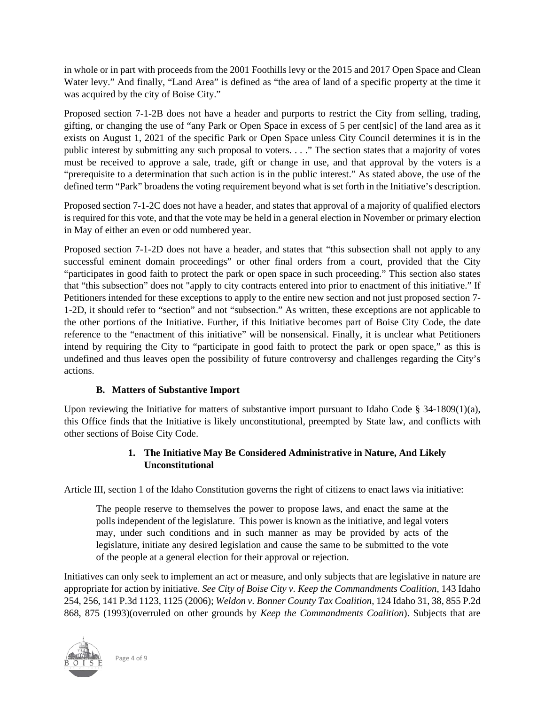in whole or in part with proceeds from the 2001 Foothills levy or the 2015 and 2017 Open Space and Clean Water levy." And finally, "Land Area" is defined as "the area of land of a specific property at the time it was acquired by the city of Boise City."

Proposed section 7-1-2B does not have a header and purports to restrict the City from selling, trading, gifting, or changing the use of "any Park or Open Space in excess of 5 per cent[sic] of the land area as it exists on August 1, 2021 of the specific Park or Open Space unless City Council determines it is in the public interest by submitting any such proposal to voters. . . ." The section states that a majority of votes must be received to approve a sale, trade, gift or change in use, and that approval by the voters is a "prerequisite to a determination that such action is in the public interest." As stated above, the use of the defined term "Park" broadens the voting requirement beyond what is set forth in the Initiative's description.

Proposed section 7-1-2C does not have a header, and states that approval of a majority of qualified electors is required for this vote, and that the vote may be held in a general election in November or primary election in May of either an even or odd numbered year.

Proposed section 7-1-2D does not have a header, and states that "this subsection shall not apply to any successful eminent domain proceedings" or other final orders from a court, provided that the City "participates in good faith to protect the park or open space in such proceeding." This section also states that "this subsection" does not "apply to city contracts entered into prior to enactment of this initiative." If Petitioners intended for these exceptions to apply to the entire new section and not just proposed section 7- 1-2D, it should refer to "section" and not "subsection." As written, these exceptions are not applicable to the other portions of the Initiative. Further, if this Initiative becomes part of Boise City Code, the date reference to the "enactment of this initiative" will be nonsensical. Finally, it is unclear what Petitioners intend by requiring the City to "participate in good faith to protect the park or open space," as this is undefined and thus leaves open the possibility of future controversy and challenges regarding the City's actions.

# **B. Matters of Substantive Import**

Upon reviewing the Initiative for matters of substantive import pursuant to Idaho Code  $\S$  34-1809(1)(a), this Office finds that the Initiative is likely unconstitutional, preempted by State law, and conflicts with other sections of Boise City Code.

# **1. The Initiative May Be Considered Administrative in Nature, And Likely Unconstitutional**

Article III, section 1 of the Idaho Constitution governs the right of citizens to enact laws via initiative:

The people reserve to themselves the power to propose laws, and enact the same at the polls independent of the legislature. This power is known as the initiative, and legal voters may, under such conditions and in such manner as may be provided by acts of the legislature, initiate any desired legislation and cause the same to be submitted to the vote of the people at a general election for their approval or rejection.

Initiatives can only seek to implement an act or measure, and only subjects that are legislative in nature are appropriate for action by initiative. *See City of Boise City v. Keep the Commandments Coalition*, 143 Idaho 254, 256, 141 P.3d 1123, 1125 (2006); *Weldon v. Bonner County Tax Coalition*, 124 Idaho 31, 38, 855 P.2d 868, 875 (1993)(overruled on other grounds by *Keep the Commandments Coalition*). Subjects that are



Page 4 of 9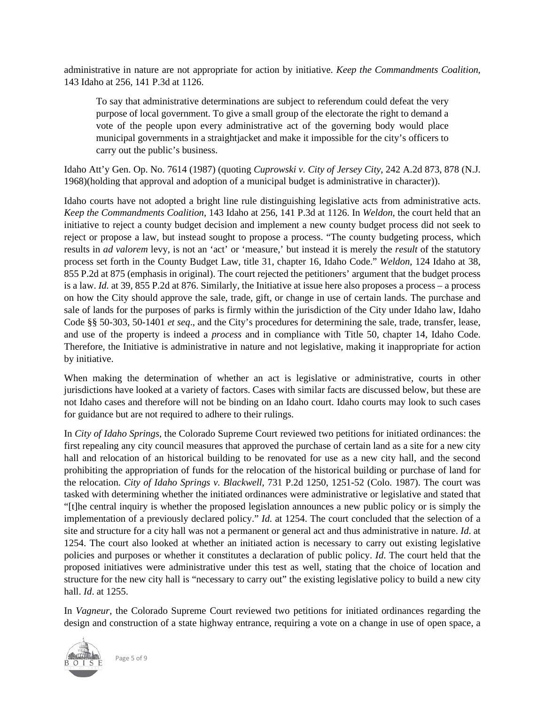administrative in nature are not appropriate for action by initiative. *Keep the Commandments Coalition*, 143 Idaho at 256, 141 P.3d at 1126.

To say that administrative determinations are subject to referendum could defeat the very purpose of local government. To give a small group of the electorate the right to demand a vote of the people upon every administrative act of the governing body would place municipal governments in a straightjacket and make it impossible for the city's officers to carry out the public's business.

Idaho Att'y Gen. Op. No. 7614 (1987) (quoting *Cuprowski v. City of Jersey City*, 242 A.2d 873, 878 (N.J. 1968)(holding that approval and adoption of a municipal budget is administrative in character)).

Idaho courts have not adopted a bright line rule distinguishing legislative acts from administrative acts. *Keep the Commandments Coalition*, 143 Idaho at 256, 141 P.3d at 1126. In *Weldon*, the court held that an initiative to reject a county budget decision and implement a new county budget process did not seek to reject or propose a law, but instead sought to propose a process. "The county budgeting process, which results in *ad valorem* levy, is not an 'act' or 'measure,' but instead it is merely the *result* of the statutory process set forth in the County Budget Law, title 31, chapter 16, Idaho Code." *Weldon*, 124 Idaho at 38, 855 P.2d at 875 (emphasis in original). The court rejected the petitioners' argument that the budget process is a law. *Id.* at 39, 855 P.2d at 876. Similarly, the Initiative at issue here also proposes a process – a process on how the City should approve the sale, trade, gift, or change in use of certain lands. The purchase and sale of lands for the purposes of parks is firmly within the jurisdiction of the City under Idaho law, Idaho Code §§ 50-303, 50-1401 *et seq*., and the City's procedures for determining the sale, trade, transfer, lease, and use of the property is indeed a *process* and in compliance with Title 50, chapter 14, Idaho Code. Therefore, the Initiative is administrative in nature and not legislative, making it inappropriate for action by initiative.

When making the determination of whether an act is legislative or administrative, courts in other jurisdictions have looked at a variety of factors. Cases with similar facts are discussed below, but these are not Idaho cases and therefore will not be binding on an Idaho court. Idaho courts may look to such cases for guidance but are not required to adhere to their rulings.

In *City of Idaho Springs*, the Colorado Supreme Court reviewed two petitions for initiated ordinances: the first repealing any city council measures that approved the purchase of certain land as a site for a new city hall and relocation of an historical building to be renovated for use as a new city hall, and the second prohibiting the appropriation of funds for the relocation of the historical building or purchase of land for the relocation. *City of Idaho Springs v. Blackwell*, 731 P.2d 1250, 1251-52 (Colo. 1987). The court was tasked with determining whether the initiated ordinances were administrative or legislative and stated that "[t]he central inquiry is whether the proposed legislation announces a new public policy or is simply the implementation of a previously declared policy." *Id.* at 1254. The court concluded that the selection of a site and structure for a city hall was not a permanent or general act and thus administrative in nature. *Id*. at 1254. The court also looked at whether an initiated action is necessary to carry out existing legislative policies and purposes or whether it constitutes a declaration of public policy. *Id*. The court held that the proposed initiatives were administrative under this test as well, stating that the choice of location and structure for the new city hall is "necessary to carry out" the existing legislative policy to build a new city hall. *Id*. at 1255.

In *Vagneur*, the Colorado Supreme Court reviewed two petitions for initiated ordinances regarding the design and construction of a state highway entrance, requiring a vote on a change in use of open space, a



Page 5 of 9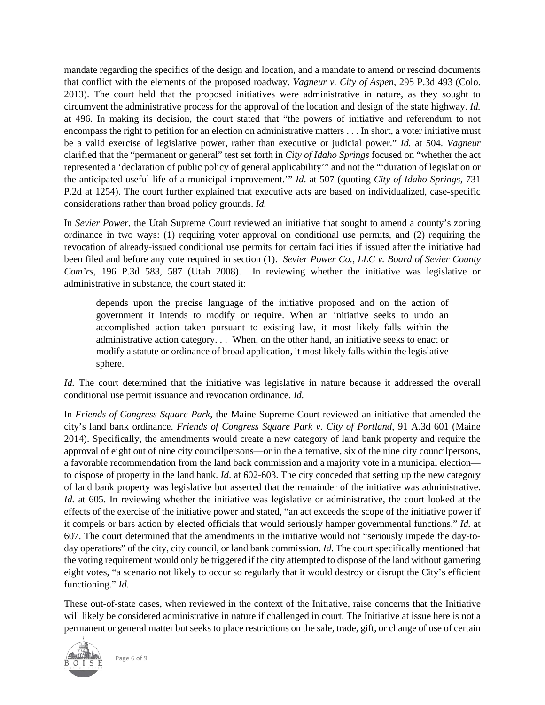mandate regarding the specifics of the design and location, and a mandate to amend or rescind documents that conflict with the elements of the proposed roadway. *Vagneur v. City of Aspen*, 295 P.3d 493 (Colo. 2013). The court held that the proposed initiatives were administrative in nature, as they sought to circumvent the administrative process for the approval of the location and design of the state highway. *Id.* at 496. In making its decision, the court stated that "the powers of initiative and referendum to not encompass the right to petition for an election on administrative matters . . . In short, a voter initiative must be a valid exercise of legislative power, rather than executive or judicial power." *Id.* at 504. *Vagneur*  clarified that the "permanent or general" test set forth in *City of Idaho Springs* focused on "whether the act represented a 'declaration of public policy of general applicability'" and not the "'duration of legislation or the anticipated useful life of a municipal improvement.'" *Id*. at 507 (quoting *City of Idaho Springs*, 731 P.2d at 1254). The court further explained that executive acts are based on individualized, case-specific considerations rather than broad policy grounds. *Id.*

In *Sevier Power*, the Utah Supreme Court reviewed an initiative that sought to amend a county's zoning ordinance in two ways: (1) requiring voter approval on conditional use permits, and (2) requiring the revocation of already-issued conditional use permits for certain facilities if issued after the initiative had been filed and before any vote required in section (1). *Sevier Power Co., LLC v. Board of Sevier County Com'rs*, 196 P.3d 583, 587 (Utah 2008). In reviewing whether the initiative was legislative or administrative in substance, the court stated it:

depends upon the precise language of the initiative proposed and on the action of government it intends to modify or require. When an initiative seeks to undo an accomplished action taken pursuant to existing law, it most likely falls within the administrative action category. . . When, on the other hand, an initiative seeks to enact or modify a statute or ordinance of broad application, it most likely falls within the legislative sphere.

*Id.* The court determined that the initiative was legislative in nature because it addressed the overall conditional use permit issuance and revocation ordinance. *Id.*

In *Friends of Congress Square Park*, the Maine Supreme Court reviewed an initiative that amended the city's land bank ordinance. *Friends of Congress Square Park v. City of Portland*, 91 A.3d 601 (Maine 2014). Specifically, the amendments would create a new category of land bank property and require the approval of eight out of nine city councilpersons—or in the alternative, six of the nine city councilpersons, a favorable recommendation from the land back commission and a majority vote in a municipal election to dispose of property in the land bank. *Id*. at 602-603. The city conceded that setting up the new category of land bank property was legislative but asserted that the remainder of the initiative was administrative. *Id.* at 605. In reviewing whether the initiative was legislative or administrative, the court looked at the effects of the exercise of the initiative power and stated, "an act exceeds the scope of the initiative power if it compels or bars action by elected officials that would seriously hamper governmental functions." *Id.* at 607. The court determined that the amendments in the initiative would not "seriously impede the day-today operations" of the city, city council, or land bank commission. *Id*. The court specifically mentioned that the voting requirement would only be triggered if the city attempted to dispose of the land without garnering eight votes, "a scenario not likely to occur so regularly that it would destroy or disrupt the City's efficient functioning." *Id.*

These out-of-state cases, when reviewed in the context of the Initiative, raise concerns that the Initiative will likely be considered administrative in nature if challenged in court. The Initiative at issue here is not a permanent or general matter but seeks to place restrictions on the sale, trade, gift, or change of use of certain



Page 6 of 9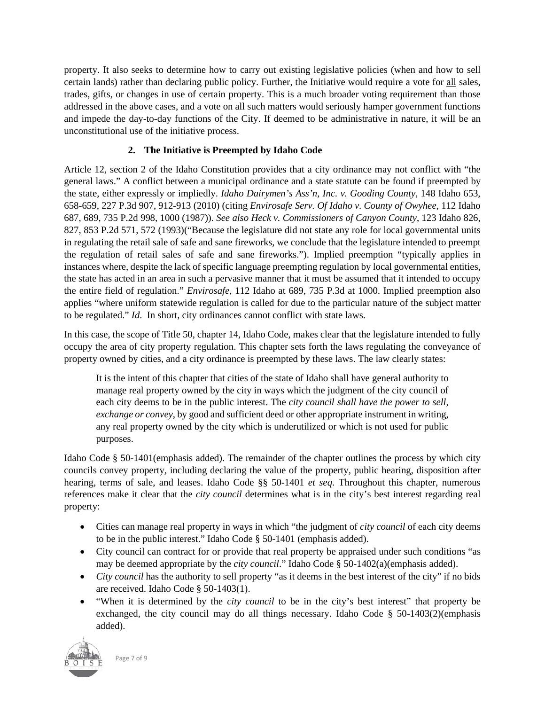property. It also seeks to determine how to carry out existing legislative policies (when and how to sell certain lands) rather than declaring public policy. Further, the Initiative would require a vote for all sales, trades, gifts, or changes in use of certain property. This is a much broader voting requirement than those addressed in the above cases, and a vote on all such matters would seriously hamper government functions and impede the day-to-day functions of the City. If deemed to be administrative in nature, it will be an unconstitutional use of the initiative process.

## **2. The Initiative is Preempted by Idaho Code**

Article 12, section 2 of the Idaho Constitution provides that a city ordinance may not conflict with "the general laws." A conflict between a municipal ordinance and a state statute can be found if preempted by the state, either expressly or impliedly. *Idaho Dairymen's Ass'n, Inc. v. Gooding County*, 148 Idaho 653, 658-659, 227 P.3d 907, 912-913 (2010) (citing *Envirosafe Serv. Of Idaho v. County of Owyhee*, 112 Idaho 687, 689, 735 P.2d 998, 1000 (1987)). *See also Heck v. Commissioners of Canyon County*, 123 Idaho 826, 827, 853 P.2d 571, 572 (1993)("Because the legislature did not state any role for local governmental units in regulating the retail sale of safe and sane fireworks, we conclude that the legislature intended to preempt the regulation of retail sales of safe and sane fireworks."). Implied preemption "typically applies in instances where, despite the lack of specific language preempting regulation by local governmental entities, the state has acted in an area in such a pervasive manner that it must be assumed that it intended to occupy the entire field of regulation." *Envirosafe*, 112 Idaho at 689, 735 P.3d at 1000. Implied preemption also applies "where uniform statewide regulation is called for due to the particular nature of the subject matter to be regulated." *Id*. In short, city ordinances cannot conflict with state laws.

In this case, the scope of Title 50, chapter 14, Idaho Code, makes clear that the legislature intended to fully occupy the area of city property regulation. This chapter sets forth the laws regulating the conveyance of property owned by cities, and a city ordinance is preempted by these laws. The law clearly states:

It is the intent of this chapter that cities of the state of Idaho shall have general authority to manage real property owned by the city in ways which the judgment of the city council of each city deems to be in the public interest. The *city council shall have the power to sell, exchange or convey*, by good and sufficient deed or other appropriate instrument in writing, any real property owned by the city which is underutilized or which is not used for public purposes.

Idaho Code § 50-1401(emphasis added). The remainder of the chapter outlines the process by which city councils convey property, including declaring the value of the property, public hearing, disposition after hearing, terms of sale, and leases. Idaho Code §§ 50-1401 *et seq*. Throughout this chapter, numerous references make it clear that the *city council* determines what is in the city's best interest regarding real property:

- Cities can manage real property in ways in which "the judgment of *city council* of each city deems to be in the public interest." Idaho Code § 50-1401 (emphasis added).
- City council can contract for or provide that real property be appraised under such conditions "as may be deemed appropriate by the *city council*." Idaho Code § 50-1402(a)(emphasis added).
- *City council* has the authority to sell property "as it deems in the best interest of the city" if no bids are received. Idaho Code § 50-1403(1).
- "When it is determined by the *city council* to be in the city's best interest" that property be exchanged, the city council may do all things necessary. Idaho Code  $\S$  50-1403(2)(emphasis added).



Page 7 of 9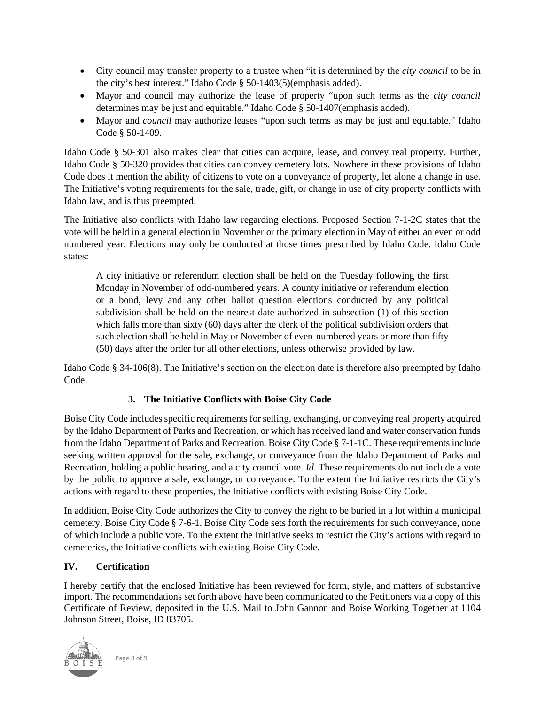- City council may transfer property to a trustee when "it is determined by the *city council* to be in the city's best interest." Idaho Code § 50-1403(5)(emphasis added).
- Mayor and council may authorize the lease of property "upon such terms as the *city council* determines may be just and equitable." Idaho Code § 50-1407(emphasis added).
- Mayor and *council* may authorize leases "upon such terms as may be just and equitable." Idaho Code § 50-1409.

Idaho Code § 50-301 also makes clear that cities can acquire, lease, and convey real property. Further, Idaho Code § 50-320 provides that cities can convey cemetery lots. Nowhere in these provisions of Idaho Code does it mention the ability of citizens to vote on a conveyance of property, let alone a change in use. The Initiative's voting requirements for the sale, trade, gift, or change in use of city property conflicts with Idaho law, and is thus preempted.

The Initiative also conflicts with Idaho law regarding elections. Proposed Section 7-1-2C states that the vote will be held in a general election in November or the primary election in May of either an even or odd numbered year. Elections may only be conducted at those times prescribed by Idaho Code. Idaho Code states:

A city initiative or referendum election shall be held on the Tuesday following the first Monday in November of odd-numbered years. A county initiative or referendum election or a bond, levy and any other ballot question elections conducted by any political subdivision shall be held on the nearest date authorized in subsection (1) of this section which falls more than sixty (60) days after the clerk of the political subdivision orders that such election shall be held in May or November of even-numbered years or more than fifty (50) days after the order for all other elections, unless otherwise provided by law.

Idaho Code § 34-106(8). The Initiative's section on the election date is therefore also preempted by Idaho Code.

# **3. The Initiative Conflicts with Boise City Code**

Boise City Code includes specific requirements for selling, exchanging, or conveying real property acquired by the Idaho Department of Parks and Recreation, or which has received land and water conservation funds from the Idaho Department of Parks and Recreation. Boise City Code § 7-1-1C. These requirements include seeking written approval for the sale, exchange, or conveyance from the Idaho Department of Parks and Recreation, holding a public hearing, and a city council vote. *Id.* These requirements do not include a vote by the public to approve a sale, exchange, or conveyance. To the extent the Initiative restricts the City's actions with regard to these properties, the Initiative conflicts with existing Boise City Code.

In addition, Boise City Code authorizes the City to convey the right to be buried in a lot within a municipal cemetery. Boise City Code § 7-6-1. Boise City Code sets forth the requirements for such conveyance, none of which include a public vote. To the extent the Initiative seeks to restrict the City's actions with regard to cemeteries, the Initiative conflicts with existing Boise City Code.

#### **IV. Certification**

I hereby certify that the enclosed Initiative has been reviewed for form, style, and matters of substantive import. The recommendations set forth above have been communicated to the Petitioners via a copy of this Certificate of Review, deposited in the U.S. Mail to John Gannon and Boise Working Together at 1104 Johnson Street, Boise, ID 83705.



Page 8 of 9